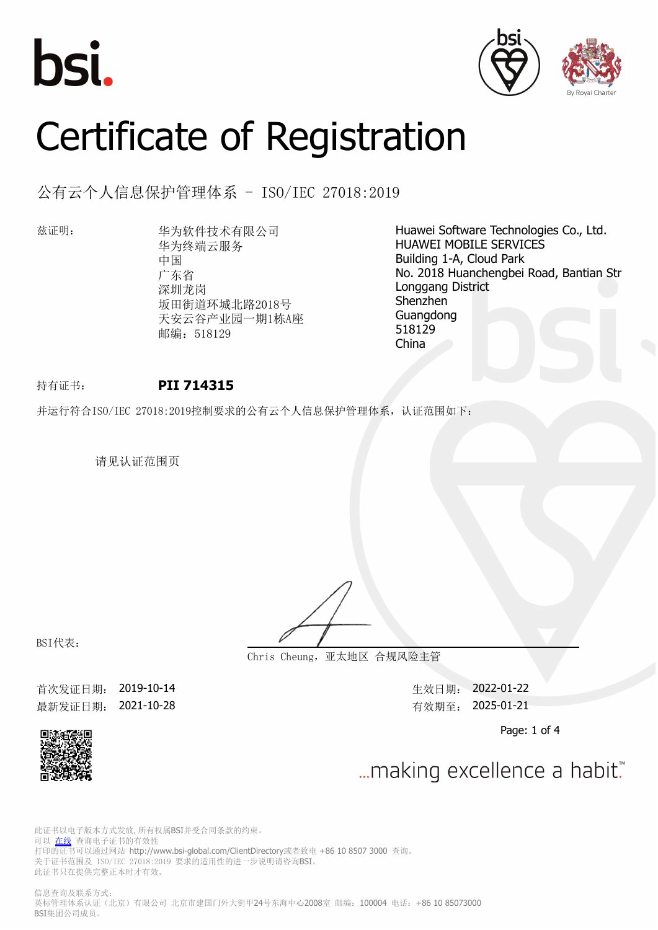





# Certificate of Registration

公有云个人信息保护管理体系 - ISO/IEC 27018:2019

兹证明: 华为软件技术有限公司 华为终端云服务 中国 广东省 深圳龙岗 坂田街道环城北路2018号 天安云谷产业园一期1栋A座 邮编: 518129

Huawei Software Technologies Co., Ltd. HUAWEI MOBILE SERVICES Building 1-A, Cloud Park No. 2018 Huanchengbei Road, Bantian Str Longgang District Shenzhen Guangdong 518129 China

## 持有证书: **PII 714315**

并运行符合ISO/IEC 27018:2019控制要求的公有云个人信息保护管理体系,认证范围如下:

请见认证范围页

BSI代表:

**Chris Cheung,亚太地区 合规风险主管**

首次发证日期: 2019-10-14 カランス おおところ エコン 生效日期: 2022-01-22 最新发证日期: 2021-10-28 <br> **最新发证日期: 2021-10-28** 

Page: 1 of 4



... making excellence a habit."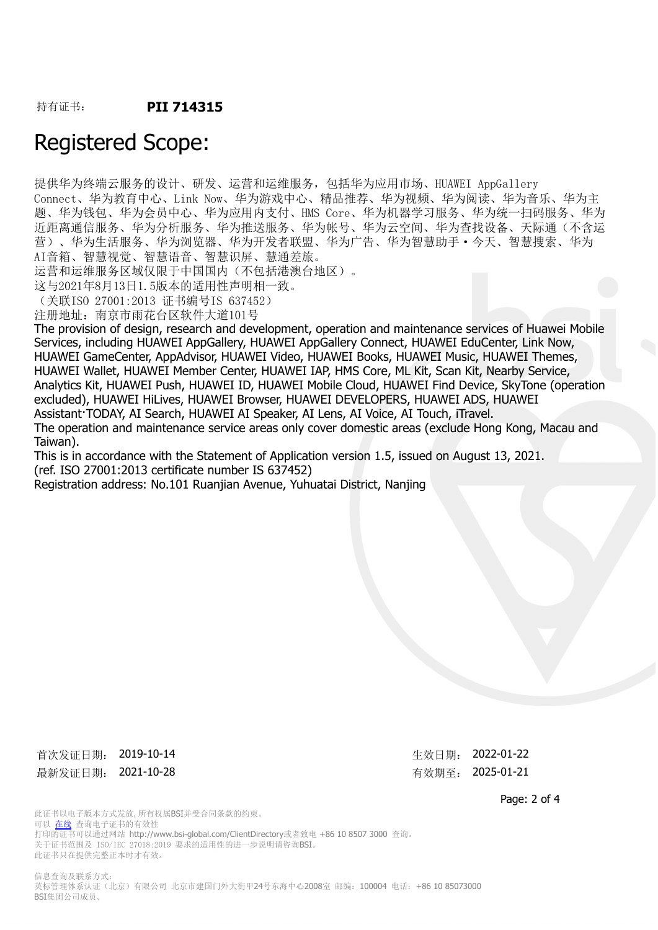## Registered Scope:

提供华为终端云服务的设计、研发、运营和运维服务,包括华为应用市场、HUAWEI AppGallery Connect、华为教育中心、Link Now、华为游戏中心、精品推荐、华为视频、华为阅读、华为音乐、华为主 题、华为钱包、华为会员中心、华为应用内支付、HMS Core、华为机器学习服务、华为统一扫码服务、华为 近距离通信服务、华为分析服务、华为推送服务、华为帐号、华为云空间、华为查找设备、天际通(不含运 营)、华为生活服务、华为浏览器、华为开发者联盟、华为广告、华为智慧助手·今天、智慧搜索、华为 AI音箱、智慧视觉、智慧语音、智慧识屏、慧通差旅。

运营和运维服务区域仅限于中国国内(不包括港澳台地区)。

这与2021年8月13日1.5版本的适用性声明相一致。

(关联ISO 27001:2013 证书编号IS 637452)

注册地址:南京市雨花台区软件大道101号

The provision of design, research and development, operation and maintenance services of Huawei Mobile Services, including HUAWEI AppGallery, HUAWEI AppGallery Connect, HUAWEI EduCenter, Link Now, HUAWEI GameCenter, AppAdvisor, HUAWEI Video, HUAWEI Books, HUAWEI Music, HUAWEI Themes, HUAWEI Wallet, HUAWEI Member Center, HUAWEI IAP, HMS Core, ML Kit, Scan Kit, Nearby Service, Analytics Kit, HUAWEI Push, HUAWEI ID, HUAWEI Mobile Cloud, HUAWEI Find Device, SkyTone (operation excluded), HUAWEI HiLives, HUAWEI Browser, HUAWEI DEVELOPERS, HUAWEI ADS, HUAWEI Assistant·TODAY, AI Search, HUAWEI AI Speaker, AI Lens, AI Voice, AI Touch, iTravel. The operation and maintenance service areas only cover domestic areas (exclude Hong Kong, Macau and Taiwan).

This is in accordance with the Statement of Application version 1.5, issued on August 13, 2021. (ref. ISO 27001:2013 certificate number IS 637452)

Registration address: No.101 Ruanjian Avenue, Yuhuatai District, Nanjing

首次发证日期: 2019-10-14 カランス おおところ おおところ 生效日期: 2022-01-22 最新发证日期: 2021-10-28 无法的 有效期至: 2025-01-21

Page: 2 of 4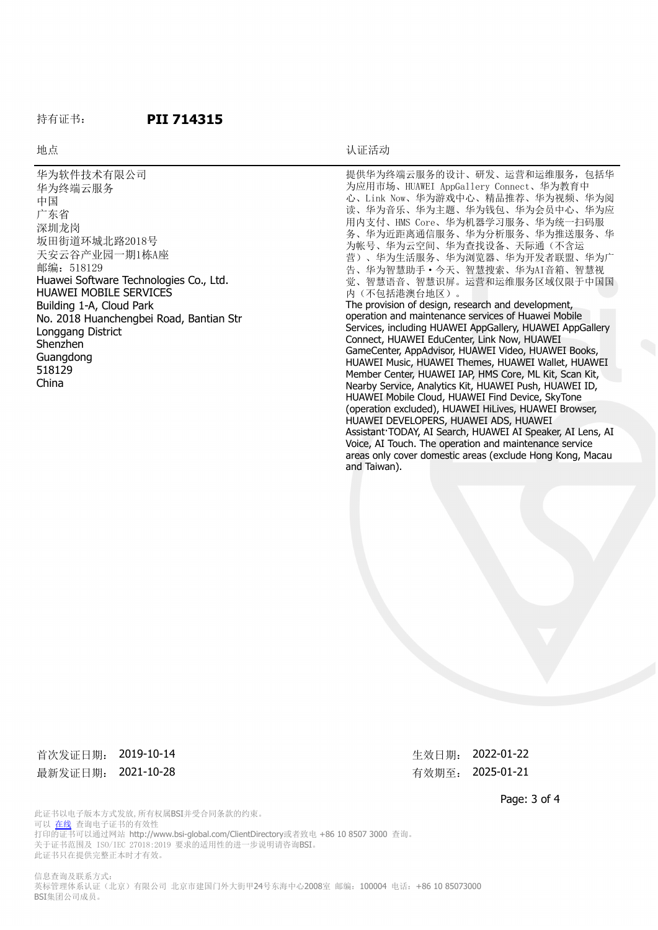#### 持有证书: **PII 714315**

#### 地点 おおおところ しょうしょう しゅうしょう おおおおし しんこうしょう しんこうしょう しんしゅう しゅうしょう しんしゅう しんしゅう しんしゅう しんしゅう しんしゅう しんしゅう しんしゅう しんしゅう しんしゅう

华为软件技术有限公司 华为终端云服务 中国 广东省 深圳龙岗 坂田街道环城北路2018号 天安云谷产业园一期1栋A座 邮编: 518129 Huawei Software Technologies Co., Ltd. HUAWEI MOBILE SERVICES Building 1-A, Cloud Park No. 2018 Huanchengbei Road, Bantian Str Longgang District Shenzhen Guangdong 518129 China 提供华为终端云服务的设计、研发、运营和运维服务,包括华

为应用市场、HUAWEI AppGallery Connect、华为教育中 心、Link Now、华为游戏中心、精品推荐、华为视频、华为阅 读、华为音乐、华为主题、华为钱包、华为会员中心、华为应 用内支付、HMS Core、华为机器学习服务、华为统一扫码服 务、华为近距离通信服务、华为分析服务、华为推送服务、华 为帐号、华为云空间、华为查找设备、天际通(不含运 营)、华为生活服务、华为浏览器、华为开发者联盟、华为广 告、华为智慧助手·今天、智慧搜索、华为AI音箱、智慧视 觉、智慧语音、智慧识屏。运营和运维服务区域仅限于中国国 内(不包括港澳台地区)。 The provision of design, research and development, operation and maintenance services of Huawei Mobile Services, including HUAWEI AppGallery, HUAWEI AppGallery Connect, HUAWEI EduCenter, Link Now, HUAWEI GameCenter, AppAdvisor, HUAWEI Video, HUAWEI Books, HUAWEI Music, HUAWEI Themes, HUAWEI Wallet, HUAWEI Member Center, HUAWEI IAP, HMS Core, ML Kit, Scan Kit, Nearby Service, Analytics Kit, HUAWEI Push, HUAWEI ID, HUAWEI Mobile Cloud, HUAWEI Find Device, SkyTone (operation excluded), HUAWEI HiLives, HUAWEI Browser, HUAWEI DEVELOPERS, HUAWEI ADS, HUAWEI Assistant·TODAY, AI Search, HUAWEI AI Speaker, AI Lens, AI Voice, AI Touch. The operation and maintenance service areas only cover domestic areas (exclude Hong Kong, Macau and Taiwan).

### 首次发证日期: 2019-10-14 カランス おおところ おおところ 生效日期: 2022-01-22 最新发证日期: 2021-10-28 无法的 有效期至: 2025-01-21

Page: 3 of 4